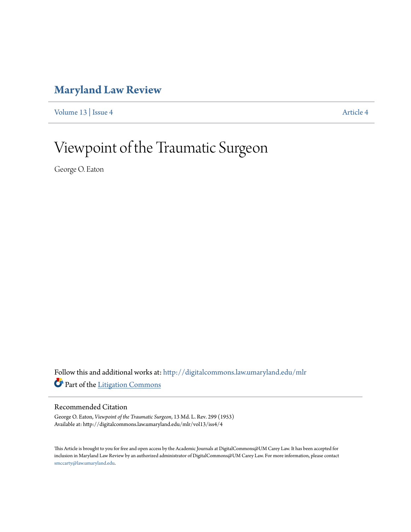## **[Maryland Law Review](http://digitalcommons.law.umaryland.edu/mlr?utm_source=digitalcommons.law.umaryland.edu%2Fmlr%2Fvol13%2Fiss4%2F4&utm_medium=PDF&utm_campaign=PDFCoverPages)**

[Volume 13](http://digitalcommons.law.umaryland.edu/mlr/vol13?utm_source=digitalcommons.law.umaryland.edu%2Fmlr%2Fvol13%2Fiss4%2F4&utm_medium=PDF&utm_campaign=PDFCoverPages) | [Issue 4](http://digitalcommons.law.umaryland.edu/mlr/vol13/iss4?utm_source=digitalcommons.law.umaryland.edu%2Fmlr%2Fvol13%2Fiss4%2F4&utm_medium=PDF&utm_campaign=PDFCoverPages) [Article 4](http://digitalcommons.law.umaryland.edu/mlr/vol13/iss4/4?utm_source=digitalcommons.law.umaryland.edu%2Fmlr%2Fvol13%2Fiss4%2F4&utm_medium=PDF&utm_campaign=PDFCoverPages)

## Viewpoint of the Traumatic Surgeon

George O. Eaton

Follow this and additional works at: [http://digitalcommons.law.umaryland.edu/mlr](http://digitalcommons.law.umaryland.edu/mlr?utm_source=digitalcommons.law.umaryland.edu%2Fmlr%2Fvol13%2Fiss4%2F4&utm_medium=PDF&utm_campaign=PDFCoverPages) Part of the [Litigation Commons](http://network.bepress.com/hgg/discipline/910?utm_source=digitalcommons.law.umaryland.edu%2Fmlr%2Fvol13%2Fiss4%2F4&utm_medium=PDF&utm_campaign=PDFCoverPages)

## Recommended Citation

George O. Eaton, *Viewpoint of the Traumatic Surgeon*, 13 Md. L. Rev. 299 (1953) Available at: http://digitalcommons.law.umaryland.edu/mlr/vol13/iss4/4

This Article is brought to you for free and open access by the Academic Journals at DigitalCommons@UM Carey Law. It has been accepted for inclusion in Maryland Law Review by an authorized administrator of DigitalCommons@UM Carey Law. For more information, please contact [smccarty@law.umaryland.edu.](mailto:smccarty@law.umaryland.edu)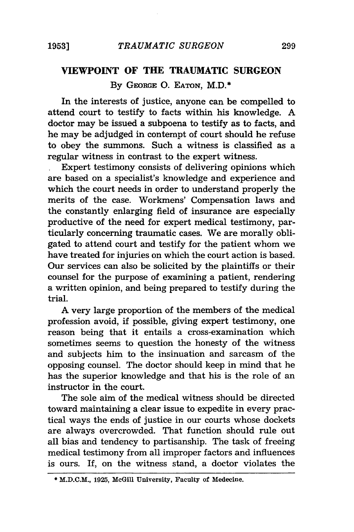## **VIEWPOINT OF THE TRAUMATIC SURGEON**

**By** GEORGE **0.** EATON, M.D.\*

In the interests of justice, anyone can be compelled to attend court to testify to facts within his knowledge. **A** doctor may be issued a subpoena to testify as to facts, and he may be adjudged in contempt of court should he refuse to obey the summons. Such a witness is classified as a regular witness in contrast to the expert witness.

Expert testimony consists of delivering opinions which are based on a specialist's knowledge and experience and which the court needs in order to understand properly the merits of the case. Workmens' Compensation laws and the constantly enlarging field of insurance are especially productive of the need for expert medical testimony, particularly concerning traumatic cases. We are morally obligated to attend court and testify for the patient whom we have treated for injuries on which the court action is based. Our services can also be solicited **by** the plaintiffs or their counsel for the purpose of examining a patient, rendering a written opinion, and being prepared to testify during the trial.

**A** very large proportion of the members of the medical profession avoid, if possible, giving expert testimony, one reason being that it entails a cross-examination which sometimes seems to question the honesty of the witness and subjects him to the insinuation and sarcasm of the opposing counsel. The doctor should keep in mind that he has the superior knowledge and that his is the role of an instructor in the court.

The sole aim of the medical witness should be directed toward maintaining a clear issue to expedite in every practical ways the ends of justice in our courts whose dockets are always overcrowded. That function should rule out all bias and tendency to partisanship. The task of freeing medical testimony from all improper factors and influences is ours. If, on the witness stand, a doctor violates the

**<sup>\*</sup>** M.D.C.M., **1925,** McGill University, Faculty of Medecine.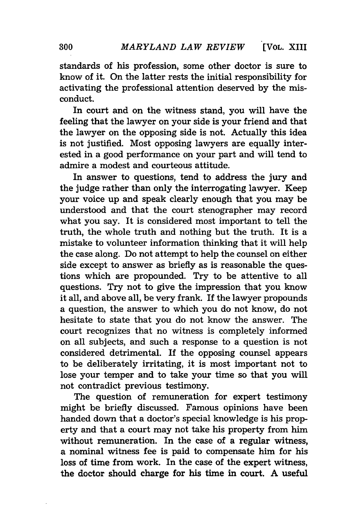standards of his profession, some other doctor is sure to know of it. On the latter rests the initial responsibility for activating the professional attention deserved by the misconduct.

In court and on the witness stand, you will have the feeling that the lawyer on your side is your friend and that the lawyer on the opposing side is not. Actually this idea is not justified. Most opposing lawyers are equally interested in a good performance on your part and will tend to admire a modest and courteous attitude.

In answer to questions, tend to address the jury and the judge rather than only the interrogating lawyer. Keep your voice up and speak clearly enough that you may be understood and that the court stenographer may record what you say. It is considered most important to tell the truth, the whole truth and nothing but the truth. It is a mistake to volunteer information thinking that it will help the case along. Do not attempt to help the counsel on either side except to answer as briefly as is reasonable the questions which are propounded. Try to be attentive to all questions. Try not to give the impression that you know it all, and above all, be very frank. If the lawyer propounds a question, the answer to which you do not know, do not hesitate to state that you do not know the answer. The court recognizes that no witness is completely informed on all subjects, and such a response to a question is not considered detrimental. If the opposing counsel appears to be deliberately irritating, it is most important not to lose your temper and to take your time so that you will not contradict previous testimony.

The question of remuneration for expert testimony might be briefly discussed. Famous opinions have been handed down that a doctor's special knowledge is his property and that a court may not take his property from him without remuneration. In the case of a regular witness, a nominal witness fee is paid to compensate him for his loss of time from work. In the case of the expert witness, the doctor should charge for his time in court. A useful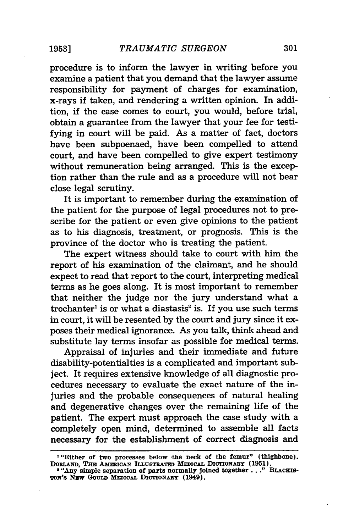procedure is to inform the lawyer in writing before you examine a patient that you demand that the lawyer assume responsibility for payment of charges for examination, x-rays if taken, and rendering a written opinion. In addition, if the case comes to court, you would, before trial, obtain a guarantee from the lawyer that your fee for testifying in court will be paid. As a matter of fact, doctors have been subpoenaed, have been compelled to attend court, and have been compelled to give expert testimony without remuneration being arranged. This is the exception rather than the rule and as a procedure will not bear close legal scrutiny.

It is important to remember during the examination of the patient for the purpose of legal procedures not to prescribe for the patient or even give opinions to the patient as to his diagnosis, treatment, or prognosis. This is the province of the doctor who is treating the patient.

The expert witness should take to court with him the report of his examination of the claimant, and he should expect to read that report to the court, interpreting medical terms as he goes along. It is most important to remember that neither the judge nor the jury understand what a  $t$ rochanter<sup>1</sup> is or what a diastasis<sup>2</sup> is. If you use such terms in court, it will be resented by the court and jury since it exposes their medical ignorance. As you talk, think ahead and substitute lay terms insofar as possible for medical terms.

Appraisal of injuries and their immediate and future disability-potentialties is a complicated and important subject. It requires extensive knowledge of all diagnostic procedures necessary to evaluate the exact nature of the injuries and the probable consequences of natural healing and degenerative changes over the remaining life of the patient. The expert must approach the case study with a completely open mind, determined to assemble all facts necessary for the establishment of correct diagnosis and

**I**"Either of two processes below the neck of the femur" (thighbone) DOBLAND, THE AMERICAN ILLUSTRATED MEDICAL DICTIONARY (1951).<br><sup>2</sup> "Any simple separation of parts normally joined together..." BLACKIS-

TON'S NEW GOULD MEDICAL DICTIONARY (1949).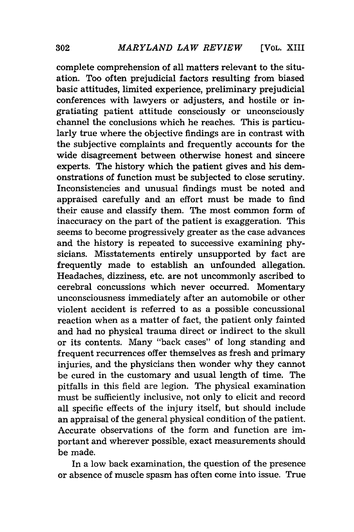complete comprehension of all matters relevant to the situation. Too often prejudicial factors resulting from biased basic attitudes, limited experience, preliminary prejudicial conferences with lawyers or adjusters, and hostile or ingratiating patient attitude consciously or unconsciously channel the conclusions which he reaches. This is particularly true where the objective findings are in contrast with the subjective complaints and frequently accounts for the wide disagreement between otherwise honest and sincere experts. The history which the patient gives and his demonstrations of function must be subjected to close scrutiny. Inconsistencies and unusual findings must be noted and appraised carefully and an effort must be made to find their cause and classify them. The most common form of inaccuracy on the part of the patient is exaggeration. This seems to become progressively greater as the case advances and the history is repeated to successive examining physicians. Misstatements entirely unsupported by fact are frequently made to establish an unfounded allegation. Headaches, dizziness, etc. are not uncommonly ascribed to cerebral concussions which never occurred. Momentary unconsciousness immediately after an automobile or other violent accident is referred to as a possible concussional reaction when as a matter of fact, the patient only fainted and had no physical trauma direct or indirect to the skull or its contents. Many "back cases" of long standing and frequent recurrences offer themselves as fresh and primary injuries, and the physicians then wonder why they cannot be cured in the customary and usual length of time. The pitfalls in this field are legion. The physical examination must be sufficiently inclusive, not only to elicit and record all specific effects of the injury itself, but should include an appraisal of the general physical condition of the patient. Accurate observations of the form and function are important and wherever possible, exact measurements should be made.

In a low back examination, the question of the presence or absence of muscle spasm has often come into issue. True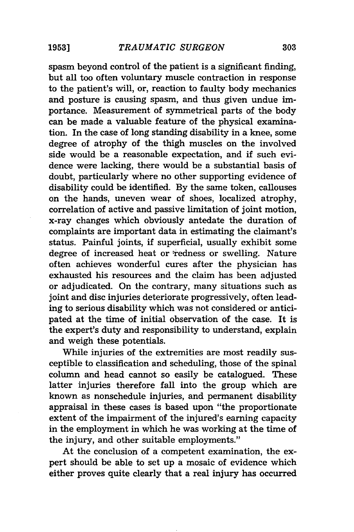spasm beyond control of the patient is a significant finding, but all too often voluntary muscle contraction in response to the patient's will, or, reaction to faulty body mechanics and posture is causing spasm, and thus given undue importance. Measurement of symmetrical parts of the body can be made a valuable feature of the physical examination. In the case of long standing disability in a knee, some degree of atrophy of the thigh muscles on the involved side would be a reasonable expectation, and if such evidence were lacking, there would be a substantial basis of doubt, particularly where no other supporting evidence of disability could be identified. By the same token, callouses on the hands, uneven wear of shoes, localized atrophy, correlation of active and passive limitation of joint motion, x-ray changes which obviously antedate the duration of complaints are important data in estimating the claimant's status. Painful joints, if superficial, usually exhibit some degree of increased heat or redness or swelling. Nature often achieves wonderful cures after the physician has exhausted his resources and the claim has been adjusted or adjudicated. On the contrary, many situations such as joint and disc injuries deteriorate progressively, often leading to serious disability which was not considered or anticipated at the time of initial observation of the case. It is the expert's duty and responsibility to understand, explain and weigh these potentials.

While injuries of the extremities are most readily susceptible to classification and scheduling, those of the spinal column and head cannot so easily be catalogued. These latter injuries therefore fall into the group which are known as nonschedule injuries, and permanent disability appraisal in these cases is based upon "the proportionate extent of the impairment of the injured's earning capacity in the employment in which he was working at the time of the injury, and other suitable employments."

At the conclusion of a competent examination, the expert should be able to set up a mosaic of evidence which either proves quite clearly that a real injury has occurred